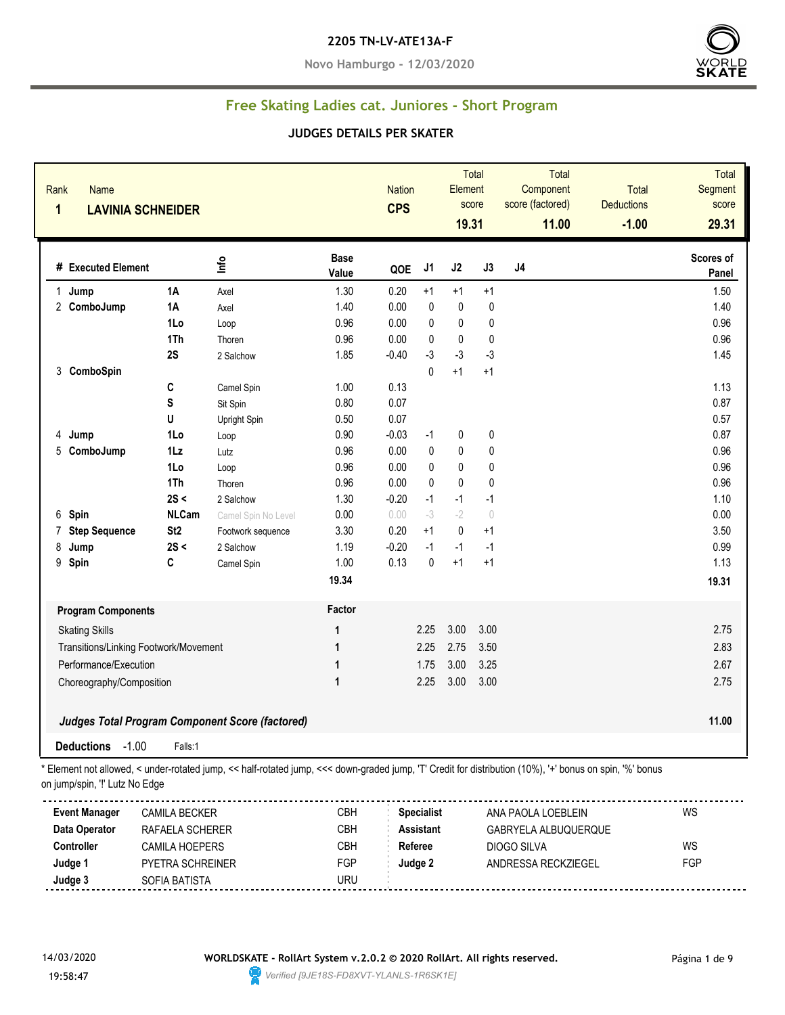#### **2205 TN-LV-ATE13A-F**

**Novo Hamburgo - 12/03/2020**



## **Free Skating Ladies cat. Juniores - Short Program**

#### **JUDGES DETAILS PER SKATER**

| Rank<br><b>Name</b><br>$\mathbf 1$       | <b>LAVINIA SCHNEIDER</b> |                                                        |                      | Total<br><b>Nation</b><br>Element<br>score<br><b>CPS</b><br>19.31 |                | <b>Total</b><br>Component<br>score (factored)<br>11.00 | <b>Total</b><br><b>Deductions</b><br>$-1.00$ | <b>Total</b><br>Segment<br>score<br>29.31 |      |                    |
|------------------------------------------|--------------------------|--------------------------------------------------------|----------------------|-------------------------------------------------------------------|----------------|--------------------------------------------------------|----------------------------------------------|-------------------------------------------|------|--------------------|
| # Executed Element                       |                          | lnfo                                                   | <b>Base</b><br>Value | QOE                                                               | J <sub>1</sub> | J2                                                     | J3                                           | J <sub>4</sub>                            |      | Scores of<br>Panel |
| 1 Jump                                   | <b>1A</b>                | Axel                                                   | 1.30                 | 0.20                                                              | $+1$           | $+1$                                                   | $+1$                                         |                                           |      | 1.50               |
| 2 ComboJump                              | 1A                       | Axel                                                   | 1.40                 | 0.00                                                              | 0              | $\pmb{0}$                                              | $\pmb{0}$                                    |                                           |      | 1.40               |
|                                          | 1Lo                      | Loop                                                   | 0.96                 | 0.00                                                              | $\mathbf{0}$   | $\mathbf 0$                                            | $\pmb{0}$                                    |                                           |      | 0.96               |
|                                          | 1Th                      | Thoren                                                 | 0.96                 | 0.00                                                              | 0              | $\mathbf{0}$                                           | 0                                            |                                           |      | 0.96               |
|                                          | 2S                       | 2 Salchow                                              | 1.85                 | $-0.40$                                                           | $-3$           | $-3$                                                   | $-3$                                         |                                           |      | 1.45               |
| 3 ComboSpin                              |                          |                                                        |                      |                                                                   | 0              | $+1$                                                   | $+1$                                         |                                           |      |                    |
|                                          | С                        | Camel Spin                                             | 1.00                 | 0.13                                                              |                |                                                        |                                              |                                           |      | 1.13               |
|                                          | S                        | Sit Spin                                               | 0.80                 | 0.07                                                              |                |                                                        |                                              |                                           |      | 0.87               |
|                                          | U                        | Upright Spin                                           | 0.50                 | 0.07                                                              |                |                                                        |                                              |                                           |      | 0.57               |
| 4 Jump                                   | 1Lo                      | Loop                                                   | 0.90                 | $-0.03$                                                           | $-1$           | $\pmb{0}$                                              | $\pmb{0}$                                    |                                           |      | 0.87               |
| 5 ComboJump                              | $1\mathsf{L}z$           | Lutz                                                   | 0.96                 | 0.00                                                              | 0              | 0                                                      | $\pmb{0}$                                    |                                           |      | 0.96               |
|                                          | 1Lo                      | Loop                                                   | 0.96                 | 0.00                                                              | 0              | $\mathbf{0}$                                           | 0                                            |                                           |      | 0.96               |
|                                          | 1Th                      | Thoren                                                 | 0.96                 | 0.00                                                              | 0              | $\pmb{0}$                                              | $\pmb{0}$                                    |                                           |      | 0.96               |
|                                          | 2S <                     | 2 Salchow                                              | 1.30                 | $-0.20$                                                           | $-1$           | $-1$                                                   | $-1$                                         |                                           |      | 1.10               |
| Spin<br>6                                | <b>NLCam</b>             | Camel Spin No Level                                    | 0.00                 | 0.00                                                              | $-3$           | $-2$                                                   | $\begin{array}{c} \n\end{array}$             |                                           |      | 0.00               |
| <b>Step Sequence</b><br>7                | St <sub>2</sub>          | Footwork sequence                                      | 3.30                 | 0.20                                                              | $+1$           | 0                                                      | $+1$                                         |                                           |      | 3.50               |
| 8<br>Jump                                | 2S <                     | 2 Salchow                                              | 1.19                 | $-0.20$                                                           | $-1$           | $-1$                                                   | $-1$                                         |                                           |      | 0.99               |
| Spin<br>9                                | C                        | Camel Spin                                             | 1.00                 | 0.13                                                              | $\mathbf 0$    | $+1$                                                   | $+1$                                         |                                           |      | 1.13               |
|                                          |                          |                                                        | 19.34                |                                                                   |                |                                                        |                                              |                                           |      | 19.31              |
| <b>Program Components</b>                |                          |                                                        | Factor               |                                                                   |                |                                                        |                                              |                                           |      |                    |
| <b>Skating Skills</b>                    |                          |                                                        | 1                    |                                                                   | 2.25           | 3.00                                                   | 3.00                                         |                                           |      | 2.75               |
| Transitions/Linking Footwork/Movement    |                          |                                                        | 1                    |                                                                   | 2.25           | 2.75                                                   | 3.50                                         |                                           |      | 2.83               |
| Performance/Execution                    |                          |                                                        | $\mathbf{1}$         |                                                                   | 1.75           | 3.00                                                   | 3.25                                         |                                           |      | 2.67               |
| Choreography/Composition<br>$\mathbf{1}$ |                          |                                                        |                      | 2.25                                                              | 3.00           | 3.00                                                   |                                              |                                           | 2.75 |                    |
|                                          |                          | <b>Judges Total Program Component Score (factored)</b> |                      |                                                                   |                |                                                        |                                              |                                           |      | 11.00              |
| $-1.00$<br><b>Deductions</b>             | Falls:1                  |                                                        |                      |                                                                   |                |                                                        |                                              |                                           |      |                    |

on jump/spin, '!' Lutz No Edge

| Event Manager     | CAMILA BECKER           | СВН | <b>Specialist</b> | ANA PAOLA LOEBLEIN   | WS  |
|-------------------|-------------------------|-----|-------------------|----------------------|-----|
| Data Operator     | RAFAELA SCHERER         | СВН | Assistant         | GABRYELA ALBUQUERQUE |     |
| <b>Controller</b> | CAMILA HOEPERS          | СВН | Referee           | DIOGO SILVA          | WS  |
| Judge 1           | <b>PYETRA SCHREINER</b> | FGP | Judge 2           | ANDRESSA RECKZIEGEL  | FGP |
| Judge 3           | SOFIA BATISTA           | URU |                   |                      |     |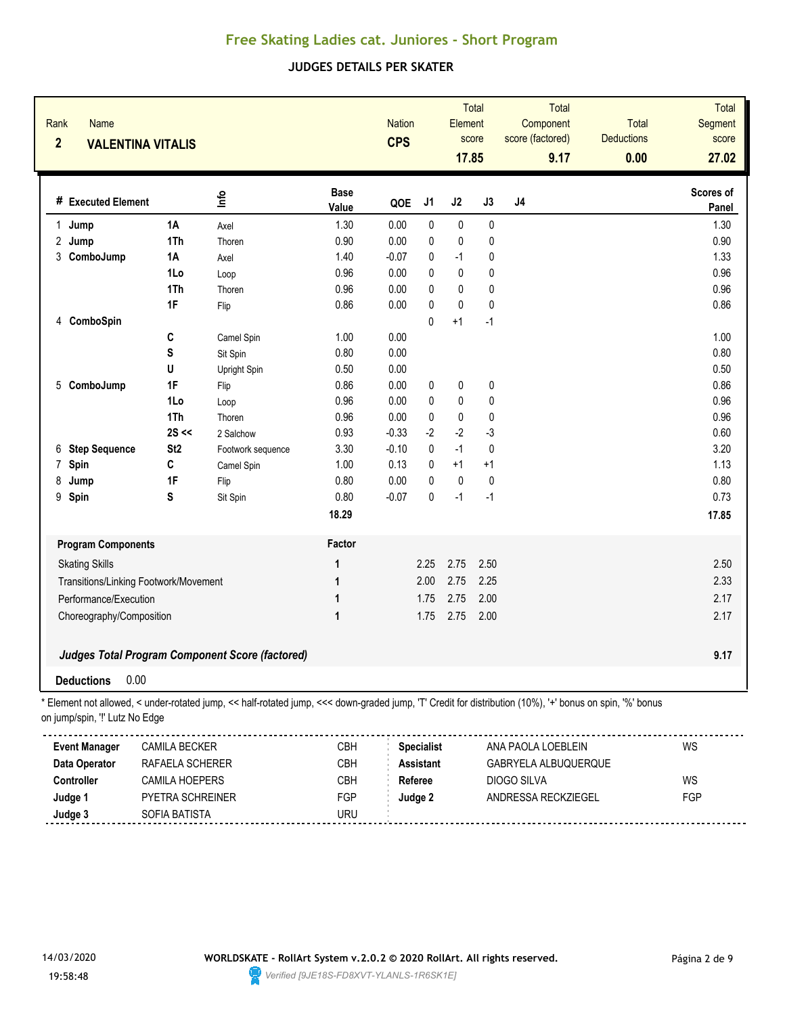### **JUDGES DETAILS PER SKATER**

| Rank<br><b>Name</b><br>$\overline{2}$ | <b>VALENTINA VITALIS</b>              |                                                                                                                                                        |                      | <b>Nation</b><br><b>CPS</b> |                   | Total<br>Element<br>score<br>17.85 |             | Total<br>Component<br>score (factored)<br>9.17 | Total<br><b>Deductions</b><br>0.00 | Total<br>Segment<br>score<br>27.02 |
|---------------------------------------|---------------------------------------|--------------------------------------------------------------------------------------------------------------------------------------------------------|----------------------|-----------------------------|-------------------|------------------------------------|-------------|------------------------------------------------|------------------------------------|------------------------------------|
| # Executed Element                    |                                       | lnfo                                                                                                                                                   | <b>Base</b><br>Value | QOE                         | J1                | J2                                 | J3          | J4                                             |                                    | Scores of<br>Panel                 |
| 1.<br>Jump                            | 1A                                    | Axel                                                                                                                                                   | 1.30                 | 0.00                        | $\pmb{0}$         | $\pmb{0}$                          | 0           |                                                |                                    | 1.30                               |
| 2 Jump                                | 1Th                                   | Thoren                                                                                                                                                 | 0.90                 | 0.00                        | $\pmb{0}$         | $\pmb{0}$                          | $\pmb{0}$   |                                                |                                    | 0.90                               |
| 3 ComboJump                           | 1A                                    | Axel                                                                                                                                                   | 1.40                 | $-0.07$                     | 0                 | $-1$                               | 0           |                                                |                                    | 1.33                               |
|                                       | 1Lo                                   | Loop                                                                                                                                                   | 0.96                 | 0.00                        | 0                 | 0                                  | 0           |                                                |                                    | 0.96                               |
|                                       | 1Th                                   | Thoren                                                                                                                                                 | 0.96                 | 0.00                        | 0                 | $\mathbf 0$                        | 0           |                                                |                                    | 0.96                               |
|                                       | 1F                                    | Flip                                                                                                                                                   | 0.86                 | 0.00                        | $\mathbf 0$       | $\mathbf 0$                        | 0           |                                                |                                    | 0.86                               |
| 4 ComboSpin                           |                                       |                                                                                                                                                        |                      |                             | $\mathbf{0}$      | $+1$                               | $-1$        |                                                |                                    |                                    |
|                                       | C                                     | Camel Spin                                                                                                                                             | 1.00                 | 0.00                        |                   |                                    |             |                                                |                                    | 1.00                               |
|                                       | S                                     | Sit Spin                                                                                                                                               | 0.80                 | 0.00                        |                   |                                    |             |                                                |                                    | 0.80                               |
|                                       | U                                     | Upright Spin                                                                                                                                           | 0.50                 | 0.00                        |                   |                                    |             |                                                |                                    | 0.50                               |
| ComboJump<br>5                        | 1F                                    | Flip                                                                                                                                                   | 0.86                 | 0.00                        | 0                 | 0                                  | 0           |                                                |                                    | 0.86                               |
|                                       | 1Lo                                   | Loop                                                                                                                                                   | 0.96                 | 0.00                        | $\mathbf 0$       | $\pmb{0}$                          | 0           |                                                |                                    | 0.96                               |
|                                       | 1Th                                   | Thoren                                                                                                                                                 | 0.96                 | 0.00                        | $\boldsymbol{0}$  | $\pmb{0}$                          | $\pmb{0}$   |                                                |                                    | 0.96                               |
|                                       | $2S \ll$                              | 2 Salchow                                                                                                                                              | 0.93                 | $-0.33$                     | $-2$              | $-2$                               | $-3$        |                                                |                                    | 0.60                               |
| <b>Step Sequence</b><br>6             | St <sub>2</sub>                       | Footwork sequence                                                                                                                                      | 3.30                 | $-0.10$                     | 0                 | $-1$                               | $\mathbf 0$ |                                                |                                    | 3.20                               |
| Spin<br>7                             | C                                     | Camel Spin                                                                                                                                             | 1.00                 | 0.13                        | 0                 | $+1$                               | $+1$        |                                                |                                    | 1.13                               |
| 8<br>Jump                             | 1F                                    | Flip                                                                                                                                                   | 0.80                 | 0.00                        | $\mathbf 0$       | $\pmb{0}$                          | $\pmb{0}$   |                                                |                                    | 0.80                               |
| 9<br>Spin                             | S                                     | Sit Spin                                                                                                                                               | 0.80                 | $-0.07$                     | $\mathbf 0$       | $-1$                               | $-1$        |                                                |                                    | 0.73                               |
|                                       |                                       |                                                                                                                                                        | 18.29                |                             |                   |                                    |             |                                                |                                    | 17.85                              |
| <b>Program Components</b>             |                                       |                                                                                                                                                        | Factor               |                             |                   |                                    |             |                                                |                                    |                                    |
| <b>Skating Skills</b>                 |                                       |                                                                                                                                                        | 1                    |                             | 2.25              | 2.75                               | 2.50        |                                                |                                    | 2.50                               |
|                                       | Transitions/Linking Footwork/Movement |                                                                                                                                                        | 1                    |                             | 2.00              | 2.75                               | 2.25        |                                                |                                    | 2.33                               |
| Performance/Execution                 |                                       |                                                                                                                                                        | 1                    |                             | 1.75              | 2.75                               | 2.00        |                                                |                                    | 2.17                               |
| Choreography/Composition              |                                       |                                                                                                                                                        | 1                    |                             | 1.75              | 2.75                               | 2.00        |                                                |                                    | 2.17                               |
|                                       |                                       | <b>Judges Total Program Component Score (factored)</b>                                                                                                 |                      |                             |                   |                                    |             |                                                |                                    | 9.17                               |
| <b>Deductions</b>                     | 0.00                                  |                                                                                                                                                        |                      |                             |                   |                                    |             |                                                |                                    |                                    |
| on jump/spin, "!' Lutz No Edge        |                                       | Element not allowed, < under-rotated jump, << half-rotated jump, <<< down-graded jump, 'T' Credit for distribution (10%), '+' bonus on spin, '%' bonus |                      |                             |                   |                                    |             |                                                |                                    |                                    |
| <b>Event Manager</b>                  | <b>CAMILA BECKER</b>                  |                                                                                                                                                        | CBH                  |                             | <b>Specialist</b> |                                    |             | ANA PAOLA LOEBLEIN                             |                                    | WS                                 |
| Data Operator                         | RAFAELA SCHERER                       |                                                                                                                                                        | CBH                  |                             | <b>Assistant</b>  |                                    |             | GABRYELA ALBUQUERQUE                           |                                    |                                    |
| Controller                            | CAMILA HOEPERS                        |                                                                                                                                                        | CBH                  |                             | Referee           |                                    |             | <b>DIOGO SILVA</b>                             |                                    | WS                                 |
| Judge 1                               | PYETRA SCHREINER                      |                                                                                                                                                        | FGP                  |                             | Judge 2           |                                    |             | ANDRESSA RECKZIEGEL                            |                                    | FGP                                |



**Judge 3** SOFIA BATISTA SOFIA BATISTA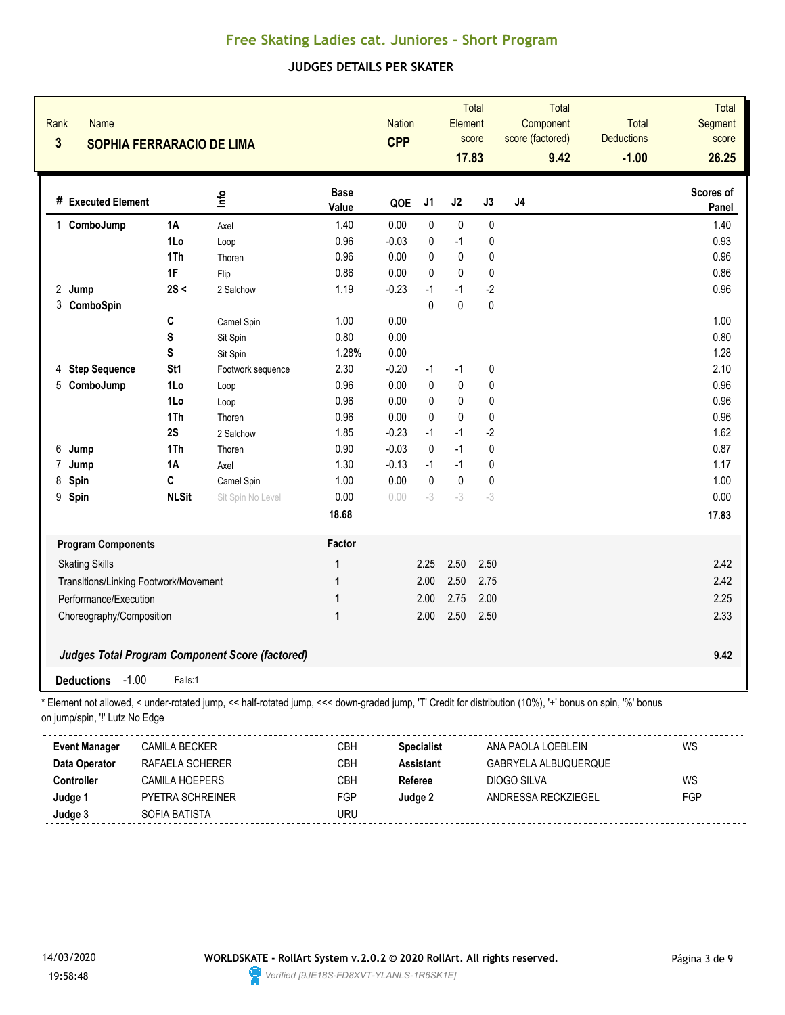### **JUDGES DETAILS PER SKATER**

| Rank<br>$\mathbf{3}$  | <b>Name</b><br><b>SOPHIA FERRARACIO DE LIMA</b> |                                       |                                                                                                                                                        |                      | <b>CPP</b> | Total<br><b>Nation</b><br>Element<br>score<br>17.83 |              |      | <b>Total</b><br>Component<br>score (factored)<br>9.42 | <b>Total</b><br><b>Deductions</b><br>$-1.00$ | <b>Total</b><br>Segment<br>score<br>26.25 |
|-----------------------|-------------------------------------------------|---------------------------------------|--------------------------------------------------------------------------------------------------------------------------------------------------------|----------------------|------------|-----------------------------------------------------|--------------|------|-------------------------------------------------------|----------------------------------------------|-------------------------------------------|
|                       | # Executed Element                              |                                       | lnfo                                                                                                                                                   | <b>Base</b><br>Value | QOE        | J <sub>1</sub>                                      | J2           | J3   | J4                                                    |                                              | Scores of<br>Panel                        |
|                       | 1 ComboJump                                     | 1A                                    | Axel                                                                                                                                                   | 1.40                 | 0.00       | 0                                                   | $\pmb{0}$    | 0    |                                                       |                                              | 1.40                                      |
|                       |                                                 | 1Lo                                   | Loop                                                                                                                                                   | 0.96                 | $-0.03$    | 0                                                   | $-1$         | 0    |                                                       |                                              | 0.93                                      |
|                       |                                                 | 1Th                                   | Thoren                                                                                                                                                 | 0.96                 | 0.00       | 0                                                   | $\pmb{0}$    | 0    |                                                       |                                              | 0.96                                      |
|                       |                                                 | 1F                                    | Flip                                                                                                                                                   | 0.86                 | 0.00       | $\mathbf{0}$                                        | $\pmb{0}$    | 0    |                                                       |                                              | 0.86                                      |
| 2<br>Jump             |                                                 | 2S <                                  | 2 Salchow                                                                                                                                              | 1.19                 | $-0.23$    | $-1$                                                | $-1$         | $-2$ |                                                       |                                              | 0.96                                      |
|                       | 3 ComboSpin                                     |                                       |                                                                                                                                                        |                      |            | $\Omega$                                            | $\mathbf{0}$ | 0    |                                                       |                                              |                                           |
|                       |                                                 | C                                     | Camel Spin                                                                                                                                             | 1.00                 | 0.00       |                                                     |              |      |                                                       |                                              | 1.00                                      |
|                       |                                                 | S                                     | Sit Spin                                                                                                                                               | 0.80                 | 0.00       |                                                     |              |      |                                                       |                                              | 0.80                                      |
|                       |                                                 | S                                     | Sit Spin                                                                                                                                               | 1.28%                | 0.00       |                                                     |              |      |                                                       |                                              | 1.28                                      |
| 4                     | <b>Step Sequence</b>                            | St <sub>1</sub>                       | Footwork sequence                                                                                                                                      | 2.30                 | $-0.20$    | $-1$                                                | $-1$         | 0    |                                                       |                                              | 2.10                                      |
| 5                     | ComboJump                                       | 1Lo                                   | Loop                                                                                                                                                   | 0.96                 | 0.00       | 0                                                   | 0            | 0    |                                                       |                                              | 0.96                                      |
|                       |                                                 | 1Lo                                   | Loop                                                                                                                                                   | 0.96                 | 0.00       | 0                                                   | 0            | 0    |                                                       |                                              | 0.96                                      |
|                       |                                                 | 1Th                                   | Thoren                                                                                                                                                 | 0.96                 | 0.00       | $\mathbf{0}$                                        | $\pmb{0}$    | 0    |                                                       |                                              | 0.96                                      |
|                       |                                                 | 2S                                    | 2 Salchow                                                                                                                                              | 1.85                 | $-0.23$    | $-1$                                                | $-1$         | $-2$ |                                                       |                                              | 1.62                                      |
| 6<br>Jump             |                                                 | 1Th                                   | Thoren                                                                                                                                                 | 0.90                 | $-0.03$    | $\mathbf 0$                                         | $-1$         | 0    |                                                       |                                              | 0.87                                      |
| 7<br>Jump             |                                                 | 1A                                    | Axel                                                                                                                                                   | 1.30                 | $-0.13$    | $-1$                                                | $-1$         | 0    |                                                       |                                              | 1.17                                      |
| Spin<br>8             |                                                 | C                                     | Camel Spin                                                                                                                                             | 1.00                 | 0.00       | $\mathbf{0}$                                        | $\pmb{0}$    | 0    |                                                       |                                              | 1.00                                      |
| 9<br>Spin             |                                                 | <b>NLSit</b>                          | Sit Spin No Level                                                                                                                                      | 0.00                 | 0.00       | $-3$                                                | $-3$         | $-3$ |                                                       |                                              | 0.00                                      |
|                       |                                                 |                                       |                                                                                                                                                        | 18.68                |            |                                                     |              |      |                                                       |                                              | 17.83                                     |
|                       | <b>Program Components</b>                       |                                       |                                                                                                                                                        | Factor               |            |                                                     |              |      |                                                       |                                              |                                           |
| <b>Skating Skills</b> |                                                 |                                       |                                                                                                                                                        | 1                    |            | 2.25                                                | 2.50         | 2.50 |                                                       |                                              | 2.42                                      |
|                       |                                                 | Transitions/Linking Footwork/Movement |                                                                                                                                                        | 1                    |            | 2.00                                                | 2.50         | 2.75 |                                                       |                                              | 2.42                                      |
|                       | Performance/Execution                           |                                       |                                                                                                                                                        | 1                    |            | 2.00                                                | 2.75         | 2.00 |                                                       |                                              | 2.25                                      |
|                       | Choreography/Composition                        |                                       |                                                                                                                                                        | 1                    |            | 2.00                                                | 2.50         | 2.50 |                                                       |                                              | 2.33                                      |
|                       |                                                 |                                       | <b>Judges Total Program Component Score (factored)</b>                                                                                                 |                      |            |                                                     |              |      |                                                       |                                              | 9.42                                      |
| <b>Deductions</b>     | $-1.00$                                         | Falls:1                               |                                                                                                                                                        |                      |            |                                                     |              |      |                                                       |                                              |                                           |
|                       | on jump/spin, "!' Lutz No Edge                  |                                       | Element not allowed, < under-rotated jump, << half-rotated jump, <<< down-graded jump, 'T' Credit for distribution (10%), '+' bonus on spin, '%' bonus |                      |            |                                                     |              |      |                                                       |                                              |                                           |
|                       |                                                 |                                       |                                                                                                                                                        |                      |            |                                                     |              |      |                                                       |                                              |                                           |
|                       | <b>Event Manager</b>                            | <b>CAMILA BECKER</b>                  |                                                                                                                                                        | CBH                  |            | <b>Specialist</b>                                   |              |      | ANA PAOLA LOEBLEIN                                    |                                              | WS                                        |
| Data Operator         |                                                 | RAFAELA SCHERER                       |                                                                                                                                                        | CBH                  |            | <b>Assistant</b>                                    |              |      | GABRYELA ALBUQUERQUE                                  |                                              |                                           |
| Controller            |                                                 | <b>CAMILA HOEPERS</b>                 |                                                                                                                                                        | CBH                  |            | Referee                                             |              |      | DIOGO SILVA                                           |                                              | WS                                        |
| Judge 1               |                                                 | PYETRA SCHREINER                      |                                                                                                                                                        | FGP                  |            | Judge 2                                             |              |      | ANDRESSA RECKZIEGEL                                   |                                              | FGP                                       |



**Judge 3** SOFIA BATISTA SOFIA BATISTA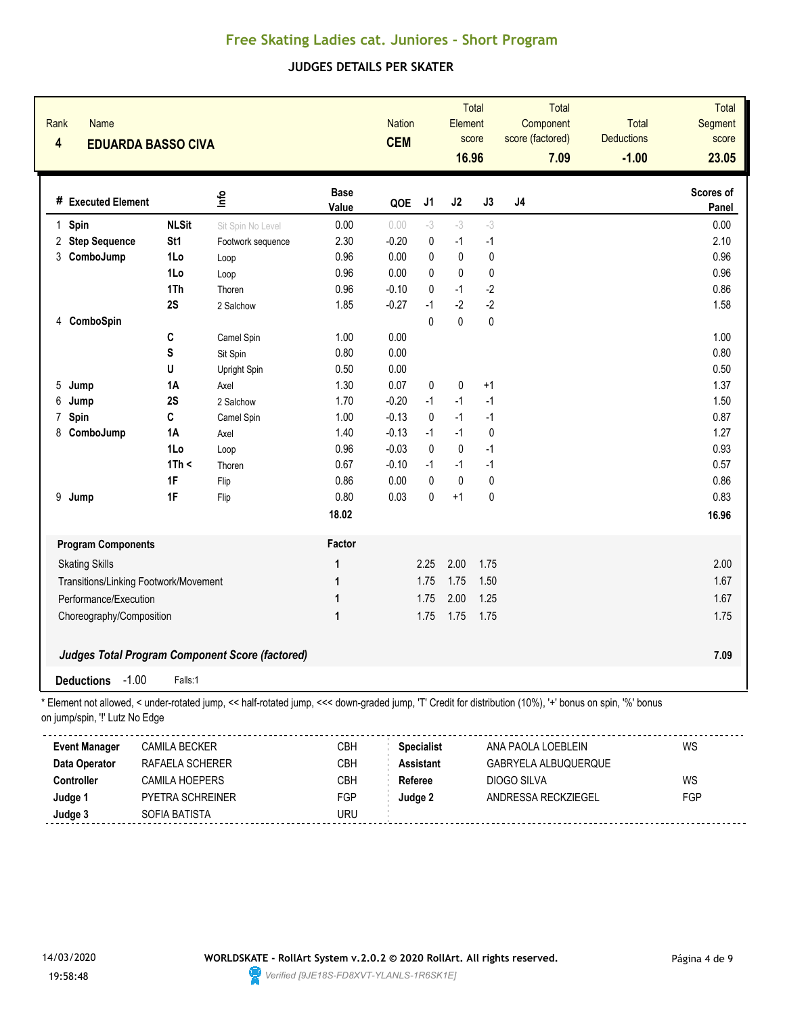### **JUDGES DETAILS PER SKATER**

| Rank<br><b>Name</b><br>4             | <b>EDUARDA BASSO CIVA</b>             |                                                                                                                                                        |                      | <b>Nation</b><br><b>CEM</b> |                   | Total<br>Element<br>score<br>16.96 |             | Total<br>Component<br>score (factored)<br>7.09 | Total<br><b>Deductions</b><br>$-1.00$ | Total<br>Segment<br>score<br>23.05 |
|--------------------------------------|---------------------------------------|--------------------------------------------------------------------------------------------------------------------------------------------------------|----------------------|-----------------------------|-------------------|------------------------------------|-------------|------------------------------------------------|---------------------------------------|------------------------------------|
| # Executed Element                   |                                       | ۴ů                                                                                                                                                     | <b>Base</b><br>Value | QOE                         | J1                | J2                                 | J3          | J4                                             |                                       | Scores of<br>Panel                 |
| Spin<br>$\mathbf{1}$                 | <b>NLSit</b>                          | Sit Spin No Level                                                                                                                                      | 0.00                 | 0.00                        | $-3$              | $-3$                               | $-3$        |                                                |                                       | 0.00                               |
| <b>Step Sequence</b><br>$\mathbf{2}$ | St1                                   | Footwork sequence                                                                                                                                      | 2.30                 | $-0.20$                     | $\pmb{0}$         | $-1$                               | $-1$        |                                                |                                       | 2.10                               |
| 3<br>ComboJump                       | 1Lo                                   | Loop                                                                                                                                                   | 0.96                 | 0.00                        | $\mathbf{0}$      | $\pmb{0}$                          | $\pmb{0}$   |                                                |                                       | 0.96                               |
|                                      | 1Lo                                   | Loop                                                                                                                                                   | 0.96                 | 0.00                        | 0                 | 0                                  | $\pmb{0}$   |                                                |                                       | 0.96                               |
|                                      | 1Th                                   | Thoren                                                                                                                                                 | 0.96                 | $-0.10$                     | 0                 | $-1$                               | $-2$        |                                                |                                       | 0.86                               |
|                                      | 2S                                    | 2 Salchow                                                                                                                                              | 1.85                 | $-0.27$                     | $-1$              | $-2$                               | $-2$        |                                                |                                       | 1.58                               |
| ComboSpin<br>4                       |                                       |                                                                                                                                                        |                      |                             | $\mathbf{0}$      | $\mathbf 0$                        | 0           |                                                |                                       |                                    |
|                                      | C                                     | Camel Spin                                                                                                                                             | 1.00                 | 0.00                        |                   |                                    |             |                                                |                                       | 1.00                               |
|                                      | S                                     | Sit Spin                                                                                                                                               | 0.80                 | 0.00                        |                   |                                    |             |                                                |                                       | 0.80                               |
|                                      | U                                     | Upright Spin                                                                                                                                           | 0.50                 | 0.00                        |                   |                                    |             |                                                |                                       | 0.50                               |
| 5<br>Jump                            | <b>1A</b>                             | Axel                                                                                                                                                   | 1.30                 | 0.07                        | 0                 | $\pmb{0}$                          | $+1$        |                                                |                                       | 1.37                               |
| 6<br>Jump                            | 2S                                    | 2 Salchow                                                                                                                                              | 1.70                 | $-0.20$                     | $-1$              | $-1$                               | $-1$        |                                                |                                       | 1.50                               |
| Spin<br>7                            | C                                     | Camel Spin                                                                                                                                             | 1.00                 | $-0.13$                     | $\mathbf 0$       | $-1$                               | $-1$        |                                                |                                       | 0.87                               |
| ComboJump<br>8                       | 1A                                    | Axel                                                                                                                                                   | 1.40                 | $-0.13$                     | $-1$              | $-1$                               | $\mathbf 0$ |                                                |                                       | 1.27                               |
|                                      | 1Lo                                   | Loop                                                                                                                                                   | 0.96                 | $-0.03$                     | $\mathbf 0$       | $\pmb{0}$                          | $-1$        |                                                |                                       | 0.93                               |
|                                      | 1Th <                                 | Thoren                                                                                                                                                 | 0.67                 | $-0.10$                     | $-1$              | $-1$                               | $-1$        |                                                |                                       | 0.57                               |
|                                      | 1F                                    | Flip                                                                                                                                                   | 0.86                 | 0.00                        | $\mathbf{0}$      | $\pmb{0}$                          | $\pmb{0}$   |                                                |                                       | 0.86                               |
| 9<br>Jump                            | 1F                                    | Flip                                                                                                                                                   | 0.80                 | 0.03                        | 0                 | $+1$                               | 0           |                                                |                                       | 0.83                               |
|                                      |                                       |                                                                                                                                                        | 18.02                |                             |                   |                                    |             |                                                |                                       | 16.96                              |
| <b>Program Components</b>            |                                       |                                                                                                                                                        | Factor               |                             |                   |                                    |             |                                                |                                       |                                    |
| <b>Skating Skills</b>                |                                       |                                                                                                                                                        | 1                    |                             | 2.25              | 2.00                               | 1.75        |                                                |                                       | 2.00                               |
|                                      | Transitions/Linking Footwork/Movement |                                                                                                                                                        | 1                    |                             | 1.75              | 1.75                               | 1.50        |                                                |                                       | 1.67                               |
| Performance/Execution                |                                       |                                                                                                                                                        | 1                    |                             | 1.75              | 2.00                               | 1.25        |                                                |                                       | 1.67                               |
| Choreography/Composition             |                                       |                                                                                                                                                        | 1                    |                             | 1.75              | 1.75                               | 1.75        |                                                |                                       | 1.75                               |
|                                      |                                       | <b>Judges Total Program Component Score (factored)</b>                                                                                                 |                      |                             |                   |                                    |             |                                                |                                       | 7.09                               |
| <b>Deductions</b>                    | $-1.00$<br>Falls:1                    |                                                                                                                                                        |                      |                             |                   |                                    |             |                                                |                                       |                                    |
| on jump/spin, "!' Lutz No Edge       |                                       | Element not allowed, < under-rotated jump, << half-rotated jump, <<< down-graded jump, 'T' Credit for distribution (10%), '+' bonus on spin, '%' bonus |                      |                             |                   |                                    |             |                                                |                                       |                                    |
| <b>Event Manager</b>                 | <b>CAMILA BECKER</b>                  |                                                                                                                                                        | CBH                  |                             | <b>Specialist</b> |                                    |             | ANA PAOLA LOEBLEIN                             |                                       | WS                                 |
| Data Operator                        | RAFAELA SCHERER                       |                                                                                                                                                        | CBH                  |                             | <b>Assistant</b>  |                                    |             | GABRYELA ALBUQUERQUE                           |                                       |                                    |
| Controller                           | CAMILA HOEPERS                        |                                                                                                                                                        | CBH                  |                             | Referee           |                                    |             | DIOGO SILVA                                    |                                       | WS                                 |
| Judge 1                              | PYETRA SCHREINER                      |                                                                                                                                                        | FGP                  |                             | Judge 2           |                                    |             | ANDRESSA RECKZIEGEL                            |                                       | FGP                                |



**Judge 3** SOFIA BATISTA SOFIA BATISTA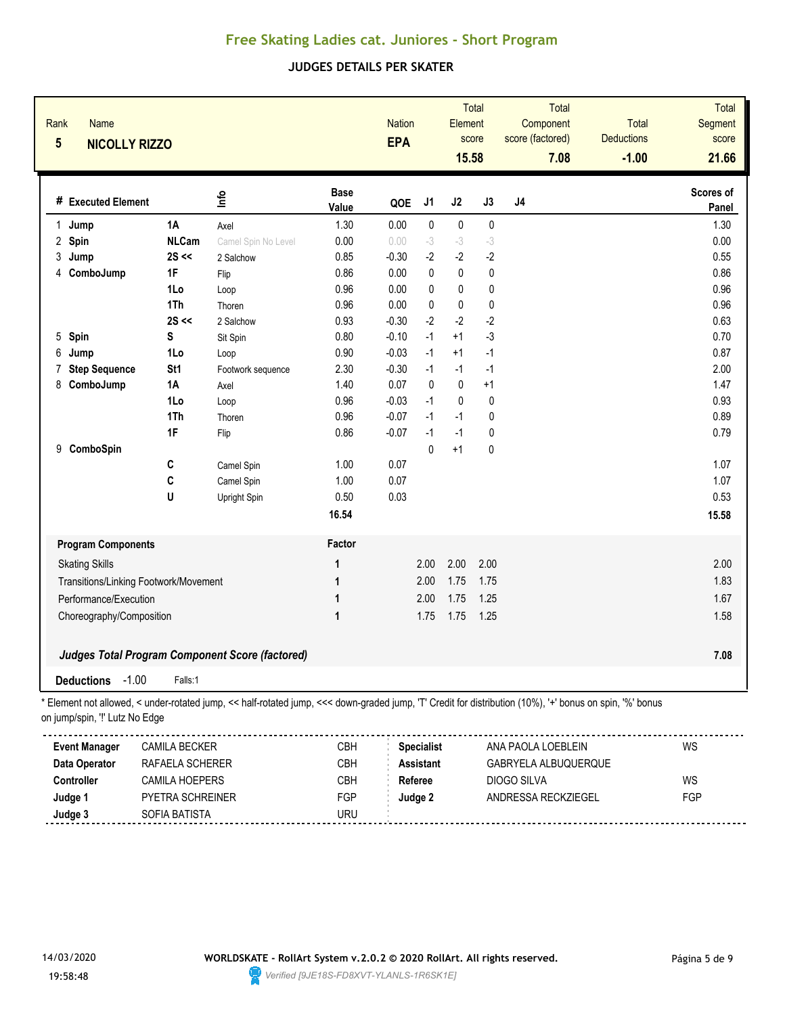### **JUDGES DETAILS PER SKATER**

| Rank<br><b>Name</b><br>$\overline{\mathbf{5}}$ | <b>NICOLLY RIZZO</b>                  |                                                                                                                                                        |                      | <b>Nation</b><br><b>EPA</b> |                   | Element<br>15.58 | <b>Total</b><br>score | <b>Total</b><br>Component<br>score (factored)<br>7.08 | <b>Total</b><br><b>Deductions</b><br>$-1.00$ | <b>Total</b><br>Segment<br>score<br>21.66 |
|------------------------------------------------|---------------------------------------|--------------------------------------------------------------------------------------------------------------------------------------------------------|----------------------|-----------------------------|-------------------|------------------|-----------------------|-------------------------------------------------------|----------------------------------------------|-------------------------------------------|
| # Executed Element                             |                                       | lnfo                                                                                                                                                   | <b>Base</b><br>Value | QOE                         | J1                | J2               | J3                    | J <sub>4</sub>                                        |                                              | Scores of<br>Panel                        |
| Jump<br>1.                                     | <b>1A</b>                             | Axel                                                                                                                                                   | 1.30                 | 0.00                        | $\pmb{0}$         | $\pmb{0}$        | $\pmb{0}$             |                                                       |                                              | 1.30                                      |
| 2 Spin                                         | <b>NLCam</b>                          | Camel Spin No Level                                                                                                                                    | 0.00                 | 0.00                        | $-3$              | $-3$             | $-3$                  |                                                       |                                              | 0.00                                      |
| 3<br>Jump                                      | $2S \ll$                              | 2 Salchow                                                                                                                                              | 0.85                 | $-0.30$                     | $-2$              | $-2$             | $-2$                  |                                                       |                                              | 0.55                                      |
| ComboJump<br>4                                 | 1F                                    | Flip                                                                                                                                                   | 0.86                 | 0.00                        | $\pmb{0}$         | $\mathbf 0$      | $\pmb{0}$             |                                                       |                                              | 0.86                                      |
|                                                | 1Lo                                   | Loop                                                                                                                                                   | 0.96                 | 0.00                        | 0                 | $\pmb{0}$        | 0                     |                                                       |                                              | 0.96                                      |
|                                                | 1Th                                   | Thoren                                                                                                                                                 | 0.96                 | 0.00                        | 0                 | $\pmb{0}$        | $\pmb{0}$             |                                                       |                                              | 0.96                                      |
|                                                | $2S \ll$                              | 2 Salchow                                                                                                                                              | 0.93                 | $-0.30$                     | $-2$              | $-2$             | $-2$                  |                                                       |                                              | 0.63                                      |
| Spin<br>5                                      | S                                     | Sit Spin                                                                                                                                               | 0.80                 | $-0.10$                     | $-1$              | $+1$             | $-3$                  |                                                       |                                              | 0.70                                      |
| 6<br>Jump                                      | 1Lo                                   | Loop                                                                                                                                                   | 0.90                 | $-0.03$                     | $-1$              | $+1$             | $-1$                  |                                                       |                                              | 0.87                                      |
| <b>Step Sequence</b><br>7                      | St <sub>1</sub>                       | Footwork sequence                                                                                                                                      | 2.30                 | $-0.30$                     | $-1$              | $-1$             | $-1$                  |                                                       |                                              | 2.00                                      |
| ComboJump<br>8                                 | 1A                                    | Axel                                                                                                                                                   | 1.40                 | 0.07                        | 0                 | 0                | $+1$                  |                                                       |                                              | 1.47                                      |
|                                                | 1Lo                                   | Loop                                                                                                                                                   | 0.96                 | $-0.03$                     | $-1$              | 0                | 0                     |                                                       |                                              | 0.93                                      |
|                                                | 1Th                                   | Thoren                                                                                                                                                 | 0.96                 | $-0.07$                     | $-1$              | $-1$             | 0                     |                                                       |                                              | 0.89                                      |
|                                                | 1F                                    | Flip                                                                                                                                                   | 0.86                 | $-0.07$                     | $-1$              | $-1$             | 0                     |                                                       |                                              | 0.79                                      |
| ComboSpin<br>9                                 |                                       |                                                                                                                                                        |                      |                             | $\mathbf{0}$      | $+1$             | 0                     |                                                       |                                              |                                           |
|                                                | C                                     | Camel Spin                                                                                                                                             | 1.00                 | 0.07                        |                   |                  |                       |                                                       |                                              | 1.07                                      |
|                                                | C                                     | Camel Spin                                                                                                                                             | 1.00                 | 0.07                        |                   |                  |                       |                                                       |                                              | 1.07                                      |
|                                                | U                                     | Upright Spin                                                                                                                                           | 0.50                 | 0.03                        |                   |                  |                       |                                                       |                                              | 0.53                                      |
|                                                |                                       |                                                                                                                                                        | 16.54                |                             |                   |                  |                       |                                                       |                                              | 15.58                                     |
| <b>Program Components</b>                      |                                       |                                                                                                                                                        | Factor               |                             |                   |                  |                       |                                                       |                                              |                                           |
| <b>Skating Skills</b>                          |                                       |                                                                                                                                                        | 1                    |                             | 2.00              | 2.00             | 2.00                  |                                                       |                                              | 2.00                                      |
|                                                | Transitions/Linking Footwork/Movement |                                                                                                                                                        | 1                    |                             | 2.00              | 1.75             | 1.75                  |                                                       |                                              | 1.83                                      |
| Performance/Execution                          |                                       |                                                                                                                                                        | 1                    |                             | 2.00              | 1.75             | 1.25                  |                                                       |                                              | 1.67                                      |
| Choreography/Composition                       |                                       |                                                                                                                                                        | 1                    |                             | 1.75              | 1.75             | 1.25                  |                                                       |                                              | 1.58                                      |
|                                                |                                       |                                                                                                                                                        |                      |                             |                   |                  |                       |                                                       |                                              |                                           |
|                                                |                                       | <b>Judges Total Program Component Score (factored)</b>                                                                                                 |                      |                             |                   |                  |                       |                                                       |                                              | 7.08                                      |
| <b>Deductions</b>                              | $-1.00$<br>Falls:1                    |                                                                                                                                                        |                      |                             |                   |                  |                       |                                                       |                                              |                                           |
| on jump/spin, "!' Lutz No Edge                 |                                       | Element not allowed, < under-rotated jump, << half-rotated jump, <<< down-graded jump, 'T' Credit for distribution (10%), '+' bonus on spin, '%' bonus |                      |                             |                   |                  |                       |                                                       |                                              |                                           |
| <b>Event Manager</b>                           | <b>CAMILA BECKER</b>                  |                                                                                                                                                        | CBH                  |                             | <b>Specialist</b> |                  |                       | ANA PAOLA LOEBLEIN                                    |                                              | WS                                        |
| Data Operator                                  | RAFAELA SCHERER                       |                                                                                                                                                        | CBH                  |                             | <b>Assistant</b>  |                  |                       | GABRYELA ALBUQUERQUE                                  |                                              |                                           |
| Controller                                     | <b>CAMILA HOEPERS</b>                 |                                                                                                                                                        | CBH                  |                             | Referee           |                  |                       | DIOGO SILVA                                           |                                              | WS                                        |
| Judge 1                                        | PYETRA SCHREINER                      |                                                                                                                                                        | FGP                  |                             | Judge 2           |                  |                       | ANDRESSA RECKZIEGEL                                   |                                              | FGP                                       |



**Judge 3** SOFIA BATISTA SOFIA BATISTA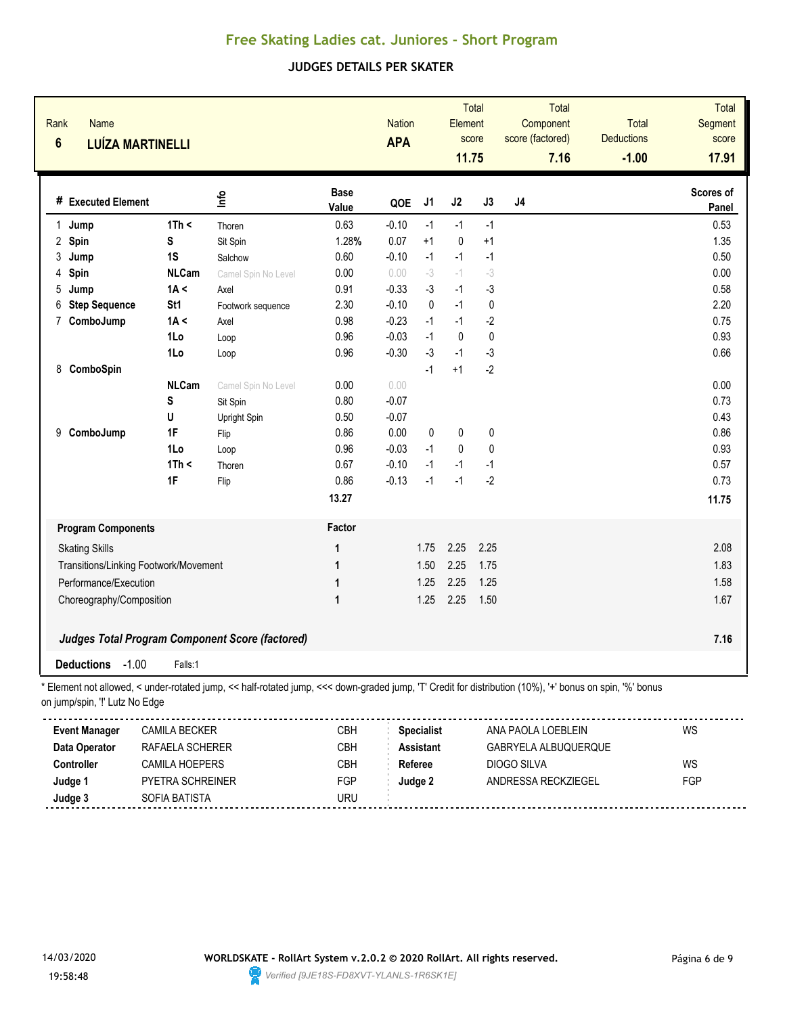#### **JUDGES DETAILS PER SKATER**

| Rank<br>Name<br>$6\phantom{a}$        | <b>LUÍZA MARTINELLI</b>           |                                                                                                                                                          |                      | <b>Nation</b><br><b>APA</b> |                   | Total<br>Element<br>score<br>11.75 |           | <b>Total</b><br>Component<br>score (factored)<br>7.16 | <b>Total</b><br><b>Deductions</b><br>$-1.00$ | Total<br>Segment<br>score<br>17.91 |
|---------------------------------------|-----------------------------------|----------------------------------------------------------------------------------------------------------------------------------------------------------|----------------------|-----------------------------|-------------------|------------------------------------|-----------|-------------------------------------------------------|----------------------------------------------|------------------------------------|
| # Executed Element                    |                                   | ۴ų                                                                                                                                                       | <b>Base</b><br>Value | QOE                         | J <sub>1</sub>    | J2                                 | J3        | J <sub>4</sub>                                        |                                              | Scores of<br><b>Panel</b>          |
| 1<br>Jump                             | 1Th <                             | Thoren                                                                                                                                                   | 0.63                 | $-0.10$                     | $-1$              | $-1$                               | $-1$      |                                                       |                                              | 0.53                               |
| 2 Spin                                | S                                 | Sit Spin                                                                                                                                                 | 1.28%                | 0.07                        | $+1$              | $\pmb{0}$                          | $+1$      |                                                       |                                              | 1.35                               |
| 3<br>Jump                             | 1S                                | Salchow                                                                                                                                                  | 0.60                 | $-0.10$                     | $-1$              | $-1$                               | $-1$      |                                                       |                                              | 0.50                               |
| Spin<br>4                             | <b>NLCam</b>                      | Camel Spin No Level                                                                                                                                      | 0.00                 | 0.00                        | $-3$              | $-1$                               | $-3$      |                                                       |                                              | 0.00                               |
| 5<br>Jump                             | 1A <                              | Axel                                                                                                                                                     | 0.91                 | $-0.33$                     | $-3$              | $-1$                               | $-3$      |                                                       |                                              | 0.58                               |
| <b>Step Sequence</b><br>6             | St <sub>1</sub>                   | Footwork sequence                                                                                                                                        | 2.30                 | $-0.10$                     | $\mathbf{0}$      | $-1$                               | $\pmb{0}$ |                                                       |                                              | 2.20                               |
| ComboJump<br>7                        | 1A <                              | Axel                                                                                                                                                     | 0.98                 | $-0.23$                     | $-1$              | $-1$                               | $-2$      |                                                       |                                              | 0.75                               |
|                                       | 1Lo                               | Loop                                                                                                                                                     | 0.96                 | $-0.03$                     | $-1$              | 0                                  | $\pmb{0}$ |                                                       |                                              | 0.93                               |
|                                       | 1Lo                               | Loop                                                                                                                                                     | 0.96                 | $-0.30$                     | -3                | $-1$                               | $-3$      |                                                       |                                              | 0.66                               |
| ComboSpin<br>8                        |                                   |                                                                                                                                                          |                      |                             | $-1$              | $+1$                               | $-2$      |                                                       |                                              |                                    |
|                                       | <b>NLCam</b>                      | Camel Spin No Level                                                                                                                                      | 0.00                 | 0.00                        |                   |                                    |           |                                                       |                                              | 0.00                               |
|                                       | S                                 | Sit Spin                                                                                                                                                 | 0.80                 | $-0.07$                     |                   |                                    |           |                                                       |                                              | 0.73                               |
|                                       | U                                 | Upright Spin                                                                                                                                             | 0.50                 | $-0.07$                     |                   |                                    |           |                                                       |                                              | 0.43                               |
| 9 ComboJump                           | 1F                                | Flip                                                                                                                                                     | 0.86                 | 0.00                        | 0                 | $\pmb{0}$                          | $\pmb{0}$ |                                                       |                                              | 0.86                               |
|                                       | 1Lo                               | Loop                                                                                                                                                     | 0.96                 | $-0.03$                     | $-1$              | $\pmb{0}$                          | 0         |                                                       |                                              | 0.93                               |
|                                       | 1Th <                             | Thoren                                                                                                                                                   | 0.67                 | $-0.10$                     | $-1$              | $-1$                               | $-1$      |                                                       |                                              | 0.57                               |
|                                       | 1F                                | Flip                                                                                                                                                     | 0.86                 | $-0.13$                     | $-1$              | $-1$                               | $-2$      |                                                       |                                              | 0.73                               |
|                                       |                                   |                                                                                                                                                          | 13.27                |                             |                   |                                    |           |                                                       |                                              | 11.75                              |
| <b>Program Components</b>             |                                   |                                                                                                                                                          | Factor               |                             |                   |                                    |           |                                                       |                                              |                                    |
| <b>Skating Skills</b>                 |                                   |                                                                                                                                                          | 1                    |                             | 1.75              | 2.25                               | 2.25      |                                                       |                                              | 2.08                               |
| Transitions/Linking Footwork/Movement |                                   |                                                                                                                                                          | 1                    |                             | 1.50              | 2.25                               | 1.75      |                                                       |                                              | 1.83                               |
| Performance/Execution                 |                                   |                                                                                                                                                          | 1                    |                             | 1.25              | 2.25                               | 1.25      |                                                       |                                              | 1.58                               |
| Choreography/Composition              |                                   |                                                                                                                                                          | $\mathbf{1}$         |                             | 1.25              | 2.25                               | 1.50      |                                                       |                                              | 1.67                               |
|                                       |                                   |                                                                                                                                                          |                      |                             |                   |                                    |           |                                                       |                                              |                                    |
|                                       |                                   | <b>Judges Total Program Component Score (factored)</b>                                                                                                   |                      |                             |                   |                                    |           |                                                       |                                              | 7.16                               |
| $-1.00$<br><b>Deductions</b>          | Falls:1                           |                                                                                                                                                          |                      |                             |                   |                                    |           |                                                       |                                              |                                    |
| on jump/spin, "!' Lutz No Edge        |                                   | * Element not allowed, < under-rotated jump, << half-rotated jump, <<< down-graded jump, 'T' Credit for distribution (10%), '+' bonus on spin, '%' bonus |                      |                             |                   |                                    |           |                                                       |                                              |                                    |
| <b>Event Manager</b>                  | <b>CAMILA BECKER</b>              |                                                                                                                                                          | CBH                  |                             | <b>Specialist</b> |                                    |           | ANA PAOLA LOEBLEIN                                    |                                              | WS                                 |
| Data Operator                         | RAFAELA SCHERER                   |                                                                                                                                                          | <b>CBH</b>           |                             | <b>Assistant</b>  |                                    |           | GABRYELA ALBUQUERQUE                                  |                                              |                                    |
| Controller                            | CAMILA HOEPERS                    |                                                                                                                                                          | <b>CBH</b>           | Referee                     |                   |                                    |           | <b>DIOGO SILVA</b>                                    |                                              | WS                                 |
|                                       |                                   |                                                                                                                                                          |                      |                             |                   |                                    |           |                                                       |                                              |                                    |
|                                       |                                   |                                                                                                                                                          |                      |                             |                   |                                    |           |                                                       |                                              |                                    |
| Judge 1<br>Judge 3                    | PYETRA SCHREINER<br>SOFIA BATISTA |                                                                                                                                                          | FGP<br><b>URU</b>    |                             | Judge 2           |                                    |           | ANDRESSA RECKZIEGEL                                   |                                              | FGP                                |

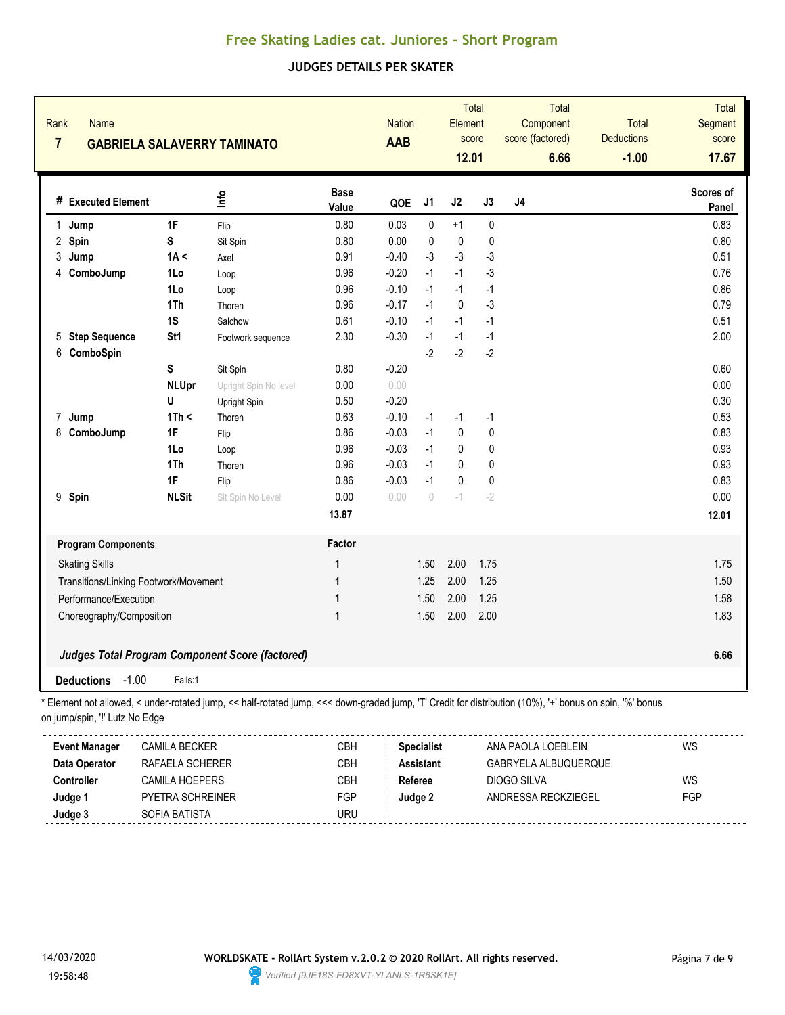### **JUDGES DETAILS PER SKATER**

| Rank<br><b>Name</b><br>$\overline{7}$ | <b>GABRIELA SALAVERRY TAMINATO</b>    |                                                                                                                                                        |                      | <b>Nation</b><br>AAB |                   | Element<br>12.01 | Total<br>score | Total<br>Component<br>score (factored)<br>6.66 | <b>Total</b><br><b>Deductions</b><br>$-1.00$ | Total<br>Segment<br>score<br>17.67 |
|---------------------------------------|---------------------------------------|--------------------------------------------------------------------------------------------------------------------------------------------------------|----------------------|----------------------|-------------------|------------------|----------------|------------------------------------------------|----------------------------------------------|------------------------------------|
| # Executed Element                    |                                       | lnfo                                                                                                                                                   | <b>Base</b><br>Value | QOE                  | J1                | J2               | J3             | J4                                             |                                              | Scores of<br>Panel                 |
| Jump<br>1.                            | 1F                                    | Flip                                                                                                                                                   | 0.80                 | 0.03                 | 0                 | $+1$             | $\pmb{0}$      |                                                |                                              | 0.83                               |
| 2 Spin                                | S                                     | Sit Spin                                                                                                                                               | 0.80                 | 0.00                 | 0                 | $\pmb{0}$        | 0              |                                                |                                              | 0.80                               |
| 3<br>Jump                             | 1A <                                  | Axel                                                                                                                                                   | 0.91                 | $-0.40$              | $-3$              | $-3$             | $-3$           |                                                |                                              | 0.51                               |
| ComboJump<br>4                        | 1Lo                                   | Loop                                                                                                                                                   | 0.96                 | $-0.20$              | $-1$              | $-1$             | $-3$           |                                                |                                              | 0.76                               |
|                                       | 1Lo                                   | Loop                                                                                                                                                   | 0.96                 | $-0.10$              | $-1$              | $-1$             | $-1$           |                                                |                                              | 0.86                               |
|                                       | 1Th                                   | Thoren                                                                                                                                                 | 0.96                 | $-0.17$              | $-1$              | $\pmb{0}$        | $-3$           |                                                |                                              | 0.79                               |
|                                       | 1S                                    | Salchow                                                                                                                                                | 0.61                 | $-0.10$              | $-1$              | $-1$             | $-1$           |                                                |                                              | 0.51                               |
| 5 Step Sequence                       | St1                                   | Footwork sequence                                                                                                                                      | 2.30                 | $-0.30$              | $-1$              | $-1$             | $-1$           |                                                |                                              | 2.00                               |
| 6<br>ComboSpin                        |                                       |                                                                                                                                                        |                      |                      | $-2$              | $-2$             | $-2$           |                                                |                                              |                                    |
|                                       | S                                     | Sit Spin                                                                                                                                               | 0.80                 | $-0.20$              |                   |                  |                |                                                |                                              | 0.60                               |
|                                       | <b>NLUpr</b>                          | Upright Spin No level                                                                                                                                  | 0.00                 | 0.00                 |                   |                  |                |                                                |                                              | 0.00                               |
|                                       | U                                     | Upright Spin                                                                                                                                           | 0.50                 | $-0.20$              |                   |                  |                |                                                |                                              | 0.30                               |
| 7<br>Jump                             | 1Th <                                 | Thoren                                                                                                                                                 | 0.63                 | $-0.10$              | $-1$              | $-1$             | $-1$           |                                                |                                              | 0.53                               |
| 8<br>ComboJump                        | 1F                                    | Flip                                                                                                                                                   | 0.86                 | $-0.03$              | $-1$              | $\pmb{0}$        | 0              |                                                |                                              | 0.83                               |
|                                       | 1Lo                                   | Loop                                                                                                                                                   | 0.96                 | $-0.03$              | $-1$              | $\pmb{0}$        | 0              |                                                |                                              | 0.93                               |
|                                       | 1Th                                   | Thoren                                                                                                                                                 | 0.96                 | $-0.03$              | $-1$              | 0                | 0              |                                                |                                              | 0.93                               |
|                                       | 1F                                    | Flip                                                                                                                                                   | 0.86                 | $-0.03$              | $-1$              | $\pmb{0}$        | 0              |                                                |                                              | 0.83                               |
| 9 Spin                                | <b>NLSit</b>                          | Sit Spin No Level                                                                                                                                      | 0.00                 | 0.00                 | $\theta$          | $-1$             | $-2$           |                                                |                                              | 0.00                               |
|                                       |                                       |                                                                                                                                                        | 13.87                |                      |                   |                  |                |                                                |                                              | 12.01                              |
| <b>Program Components</b>             |                                       |                                                                                                                                                        | Factor               |                      |                   |                  |                |                                                |                                              |                                    |
| <b>Skating Skills</b>                 |                                       |                                                                                                                                                        | 1                    |                      | 1.50              | 2.00             | 1.75           |                                                |                                              | 1.75                               |
|                                       | Transitions/Linking Footwork/Movement |                                                                                                                                                        | 1                    |                      | 1.25              | 2.00             | 1.25           |                                                |                                              | 1.50                               |
| Performance/Execution                 |                                       |                                                                                                                                                        | 1                    |                      | 1.50              | 2.00             | 1.25           |                                                |                                              | 1.58                               |
| Choreography/Composition              |                                       |                                                                                                                                                        | 1                    |                      | 1.50              | 2.00             | 2.00           |                                                |                                              | 1.83                               |
|                                       |                                       | Judges Total Program Component Score (factored)                                                                                                        |                      |                      |                   |                  |                |                                                |                                              | 6.66                               |
| <b>Deductions</b>                     | $-1.00$<br>Falls:1                    |                                                                                                                                                        |                      |                      |                   |                  |                |                                                |                                              |                                    |
| on jump/spin, "!' Lutz No Edge        |                                       | Element not allowed, < under-rotated jump, << half-rotated jump, <<< down-graded jump, 'T' Credit for distribution (10%), '+' bonus on spin, '%' bonus |                      |                      |                   |                  |                |                                                |                                              |                                    |
| <b>Event Manager</b>                  | <b>CAMILA BECKER</b>                  |                                                                                                                                                        | CBH                  |                      | <b>Specialist</b> |                  |                | ANA PAOLA LOEBLEIN                             |                                              | WS                                 |
| Data Operator                         | RAFAELA SCHERER                       |                                                                                                                                                        | CBH                  |                      | <b>Assistant</b>  |                  |                | GABRYELA ALBUQUERQUE                           |                                              |                                    |
| Controller                            | CAMILA HOEPERS                        |                                                                                                                                                        | CBH                  |                      | Referee           |                  |                | DIOGO SILVA                                    |                                              | WS                                 |
| Judge 1                               | PYETRA SCHREINER                      |                                                                                                                                                        | FGP                  |                      | Judge 2           |                  |                | ANDRESSA RECKZIEGEL                            |                                              | FGP                                |



**Judge 3** SOFIA BATISTA SOFIA BATISTA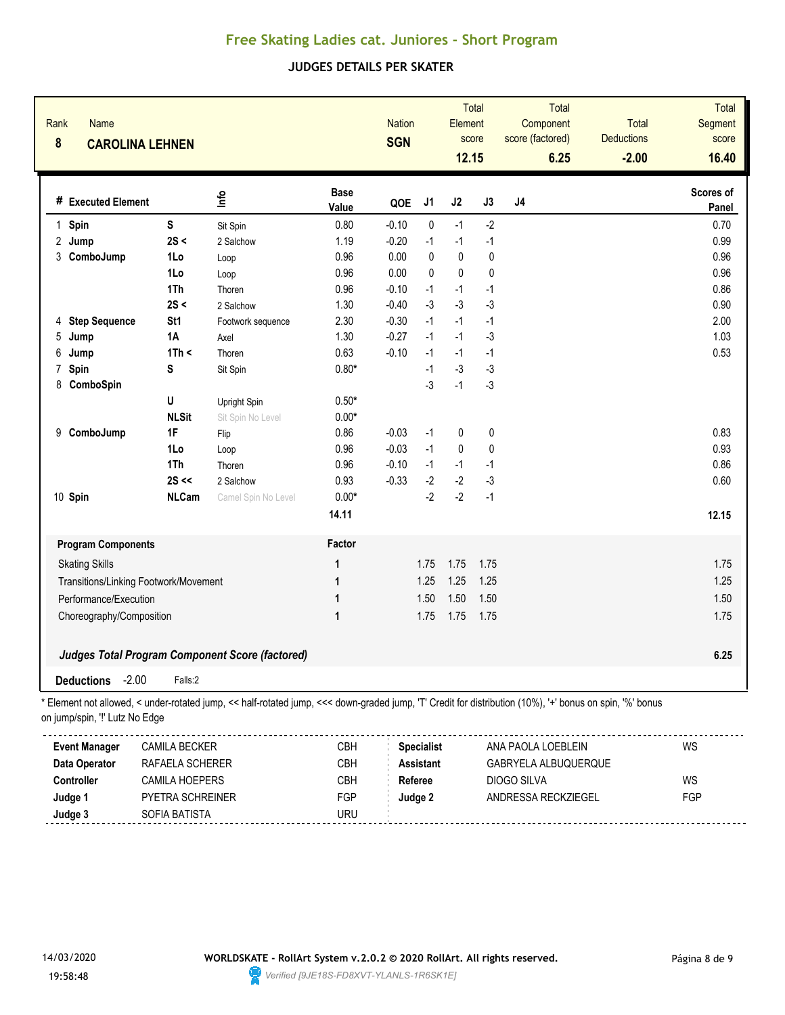### **JUDGES DETAILS PER SKATER**

| Rank<br><b>Name</b><br>8       | <b>CAROLINA LEHNEN</b>                |                                                                                                                                                        |                      | <b>Nation</b><br><b>SGN</b> |                   | <b>Total</b><br>Element<br>score<br>12.15 |           | Total<br>Component<br>score (factored)<br>6.25 | <b>Total</b><br><b>Deductions</b><br>$-2.00$ | <b>Total</b><br>Segment<br>score<br>16.40 |
|--------------------------------|---------------------------------------|--------------------------------------------------------------------------------------------------------------------------------------------------------|----------------------|-----------------------------|-------------------|-------------------------------------------|-----------|------------------------------------------------|----------------------------------------------|-------------------------------------------|
| # Executed Element             |                                       | lnfo                                                                                                                                                   | <b>Base</b><br>Value | QOE                         | J1                | J2                                        | J3        | J <sub>4</sub>                                 |                                              | Scores of<br>Panel                        |
| 1 Spin                         | $\mathsf S$                           | Sit Spin                                                                                                                                               | 0.80                 | $-0.10$                     | $\mathbf 0$       | $-1$                                      | $-2$      |                                                |                                              | 0.70                                      |
| 2 Jump                         | 2S <                                  | 2 Salchow                                                                                                                                              | 1.19                 | $-0.20$                     | $-1$              | $-1$                                      | $-1$      |                                                |                                              | 0.99                                      |
| 3 ComboJump                    | 1Lo                                   | Loop                                                                                                                                                   | 0.96                 | 0.00                        | $\pmb{0}$         | $\pmb{0}$                                 | 0         |                                                |                                              | 0.96                                      |
|                                | 1Lo                                   | Loop                                                                                                                                                   | 0.96                 | 0.00                        | $\mathbf 0$       | $\pmb{0}$                                 | $\pmb{0}$ |                                                |                                              | 0.96                                      |
|                                | 1Th                                   | Thoren                                                                                                                                                 | 0.96                 | $-0.10$                     | $-1$              | $-1$                                      | $-1$      |                                                |                                              | 0.86                                      |
|                                | 2S <                                  | 2 Salchow                                                                                                                                              | 1.30                 | $-0.40$                     | $-3$              | $-3$                                      | $-3$      |                                                |                                              | 0.90                                      |
| <b>Step Sequence</b><br>4      | St <sub>1</sub>                       | Footwork sequence                                                                                                                                      | 2.30                 | $-0.30$                     | $-1$              | $-1$                                      | $-1$      |                                                |                                              | 2.00                                      |
| 5<br>Jump                      | 1A                                    | Axel                                                                                                                                                   | 1.30                 | $-0.27$                     | $-1$              | $-1$                                      | $-3$      |                                                |                                              | 1.03                                      |
| 6<br>Jump                      | 1Th <                                 | Thoren                                                                                                                                                 | 0.63                 | $-0.10$                     | $-1$              | $-1$                                      | $-1$      |                                                |                                              | 0.53                                      |
| Spin<br>7                      | S                                     | Sit Spin                                                                                                                                               | $0.80*$              |                             | $-1$              | $-3$                                      | $-3$      |                                                |                                              |                                           |
| ComboSpin<br>8                 |                                       |                                                                                                                                                        |                      |                             | $-3$              | $-1$                                      | $-3$      |                                                |                                              |                                           |
|                                | U                                     | Upright Spin                                                                                                                                           | $0.50*$              |                             |                   |                                           |           |                                                |                                              |                                           |
|                                | <b>NLSit</b>                          | Sit Spin No Level                                                                                                                                      | $0.00*$              |                             |                   |                                           |           |                                                |                                              |                                           |
| ComboJump<br>9                 | 1F                                    | Flip                                                                                                                                                   | 0.86                 | $-0.03$                     | $-1$              | $\pmb{0}$                                 | $\pmb{0}$ |                                                |                                              | 0.83                                      |
|                                | 1Lo                                   | Loop                                                                                                                                                   | 0.96                 | $-0.03$                     | $-1$              | $\pmb{0}$                                 | 0         |                                                |                                              | 0.93                                      |
|                                | 1Th                                   | Thoren                                                                                                                                                 | 0.96                 | $-0.10$                     | $-1$              | $-1$                                      | $-1$      |                                                |                                              | 0.86                                      |
|                                | $2S \ll$                              | 2 Salchow                                                                                                                                              | 0.93                 | $-0.33$                     | $-2$              | $-2$                                      | $-3$      |                                                |                                              | 0.60                                      |
| 10 Spin                        | <b>NLCam</b>                          | Camel Spin No Level                                                                                                                                    | $0.00*$              |                             | $-2$              | $-2$                                      | $-1$      |                                                |                                              |                                           |
|                                |                                       |                                                                                                                                                        | 14.11                |                             |                   |                                           |           |                                                |                                              | 12.15                                     |
| <b>Program Components</b>      |                                       |                                                                                                                                                        | Factor               |                             |                   |                                           |           |                                                |                                              |                                           |
| <b>Skating Skills</b>          |                                       |                                                                                                                                                        | 1                    |                             | 1.75              | 1.75                                      | 1.75      |                                                |                                              | 1.75                                      |
|                                | Transitions/Linking Footwork/Movement |                                                                                                                                                        | 1                    |                             | 1.25              | 1.25                                      | 1.25      |                                                |                                              | 1.25                                      |
| Performance/Execution          |                                       |                                                                                                                                                        | 1                    |                             | 1.50              | 1.50                                      | 1.50      |                                                |                                              | 1.50                                      |
| Choreography/Composition       |                                       |                                                                                                                                                        | 1                    |                             | 1.75              | 1.75                                      | 1.75      |                                                |                                              | 1.75                                      |
|                                |                                       |                                                                                                                                                        |                      |                             |                   |                                           |           |                                                |                                              |                                           |
|                                |                                       | <b>Judges Total Program Component Score (factored)</b>                                                                                                 |                      |                             |                   |                                           |           |                                                |                                              | 6.25                                      |
| <b>Deductions</b>              | $-2.00$<br>Falls:2                    |                                                                                                                                                        |                      |                             |                   |                                           |           |                                                |                                              |                                           |
| on jump/spin, "!' Lutz No Edge |                                       | Element not allowed, < under-rotated jump, << half-rotated jump, <<< down-graded jump, 'T' Credit for distribution (10%), '+' bonus on spin, '%' bonus |                      |                             |                   |                                           |           |                                                |                                              |                                           |
| <b>Event Manager</b>           | <b>CAMILA BECKER</b>                  |                                                                                                                                                        | CBH                  |                             | <b>Specialist</b> |                                           |           | ANA PAOLA LOEBLEIN                             |                                              | WS                                        |
| Data Operator                  | RAFAELA SCHERER                       |                                                                                                                                                        | CBH                  |                             | <b>Assistant</b>  |                                           |           | GABRYELA ALBUQUERQUE                           |                                              |                                           |
| Controller                     | <b>CAMILA HOEPERS</b>                 |                                                                                                                                                        | CBH                  |                             | Referee           |                                           |           | DIOGO SILVA                                    |                                              | WS                                        |
| Judge 1                        | PYETRA SCHREINER                      |                                                                                                                                                        | FGP                  |                             | Judge 2           |                                           |           | ANDRESSA RECKZIEGEL                            |                                              | FGP                                       |



**Judge 3** SOFIA BATISTA SOFIA BATISTA